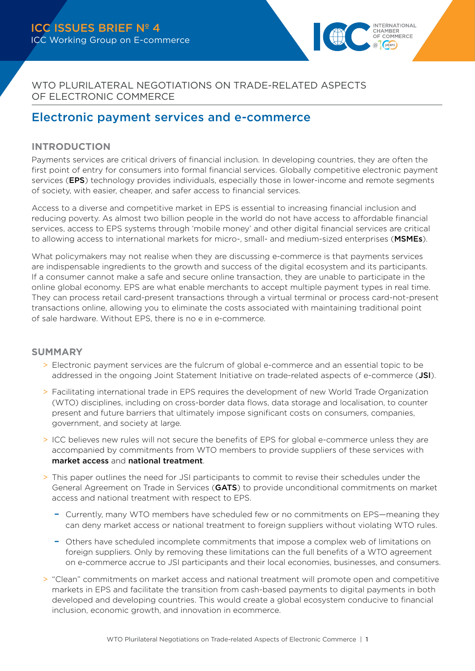

WTO PLURILATERAL NEGOTIATIONS ON TRADE-RELATED ASPECTS OF ELECTRONIC COMMERCE

# Electronic payment services and e-commerce

# **INTRODUCTION**

Payments services are critical drivers of financial inclusion. In developing countries, they are often the first point of entry for consumers into formal financial services. Globally competitive electronic payment services (**EPS**) technology provides individuals, especially those in lower-income and remote segments of society, with easier, cheaper, and safer access to financial services.

Access to a diverse and competitive market in EPS is essential to increasing financial inclusion and reducing poverty. As almost two billion people in the world do not have access to affordable financial services, access to EPS systems through 'mobile money' and other digital financial services are critical to allowing access to international markets for micro-, small- and medium-sized enterprises (MSMEs).

What policymakers may not realise when they are discussing e-commerce is that payments services are indispensable ingredients to the growth and success of the digital ecosystem and its participants. If a consumer cannot make a safe and secure online transaction, they are unable to participate in the online global economy. EPS are what enable merchants to accept multiple payment types in real time. They can process retail card-present transactions through a virtual terminal or process card-not-present transactions online, allowing you to eliminate the costs associated with maintaining traditional point of sale hardware. Without EPS, there is no e in e-commerce.

# **SUMMARY**

- > Electronic payment services are the fulcrum of global e-commerce and an essential topic to be addressed in the ongoing Joint Statement Initiative on trade-related aspects of e-commerce (JSI).
- > Facilitating international trade in EPS requires the development of new World Trade Organization (WTO) disciplines, including on cross-border data flows, data storage and localisation, to counter present and future barriers that ultimately impose significant costs on consumers, companies, government, and society at large.
- > ICC believes new rules will not secure the benefits of EPS for global e-commerce unless they are accompanied by commitments from WTO members to provide suppliers of these services with market access and national treatment.
- > This paper outlines the need for JSI participants to commit to revise their schedules under the General Agreement on Trade in Services (GATS) to provide unconditional commitments on market access and national treatment with respect to EPS.
	- Currently, many WTO members have scheduled few or no commitments on EPS—meaning they can deny market access or national treatment to foreign suppliers without violating WTO rules.
	- Others have scheduled incomplete commitments that impose a complex web of limitations on foreign suppliers. Only by removing these limitations can the full benefits of a WTO agreement on e-commerce accrue to JSI participants and their local economies, businesses, and consumers.
- > "Clean" commitments on market access and national treatment will promote open and competitive markets in EPS and facilitate the transition from cash-based payments to digital payments in both developed and developing countries. This would create a global ecosystem conducive to financial inclusion, economic growth, and innovation in ecommerce.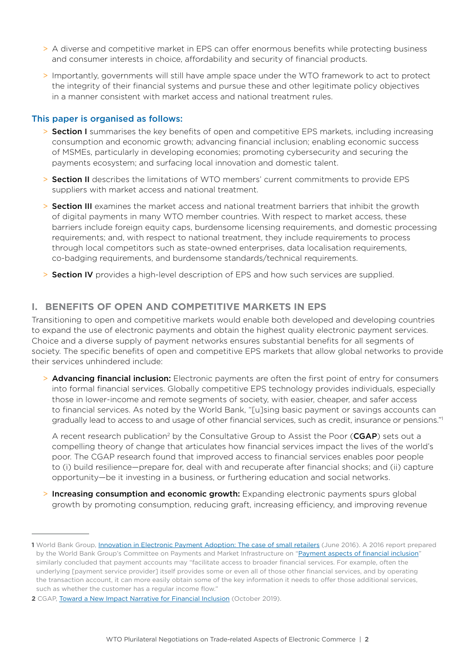- > A diverse and competitive market in EPS can offer enormous benefits while protecting business and consumer interests in choice, affordability and security of financial products.
- > Importantly, governments will still have ample space under the WTO framework to act to protect the integrity of their financial systems and pursue these and other legitimate policy objectives in a manner consistent with market access and national treatment rules.

#### This paper is organised as follows:

- > Section I summarises the key benefits of open and competitive EPS markets, including increasing consumption and economic growth; advancing financial inclusion; enabling economic success of MSMEs, particularly in developing economies; promoting cybersecurity and securing the payments ecosystem; and surfacing local innovation and domestic talent.
- > Section II describes the limitations of WTO members' current commitments to provide EPS suppliers with market access and national treatment.
- > Section III examines the market access and national treatment barriers that inhibit the growth of digital payments in many WTO member countries. With respect to market access, these barriers include foreign equity caps, burdensome licensing requirements, and domestic processing requirements; and, with respect to national treatment, they include requirements to process through local competitors such as state-owned enterprises, data localisation requirements, co-badging requirements, and burdensome standards/technical requirements.
- > Section IV provides a high-level description of EPS and how such services are supplied.

# **I. BENEFITS OF OPEN AND COMPETITIVE MARKETS IN EPS**

Transitioning to open and competitive markets would enable both developed and developing countries to expand the use of electronic payments and obtain the highest quality electronic payment services. Choice and a diverse supply of payment networks ensures substantial benefits for all segments of society. The specific benefits of open and competitive EPS markets that allow global networks to provide their services unhindered include:

> Advancing financial inclusion: Electronic payments are often the first point of entry for consumers into formal financial services. Globally competitive EPS technology provides individuals, especially those in lower-income and remote segments of society, with easier, cheaper, and safer access to financial services. As noted by the World Bank, "[u]sing basic payment or savings accounts can gradually lead to access to and usage of other financial services, such as credit, insurance or pensions."1

A recent research publication<sup>2</sup> by the Consultative Group to Assist the Poor (**CGAP**) sets out a compelling theory of change that articulates how financial services impact the lives of the world's poor. The CGAP research found that improved access to financial services enables poor people to (i) build resilience—prepare for, deal with and recuperate after financial shocks; and (ii) capture opportunity—be it investing in a business, or furthering education and social networks.

> Increasing consumption and economic growth: Expanding electronic payments spurs global growth by promoting consumption, reducing graft, increasing efficiency, and improving revenue

**<sup>1</sup>** World Bank Group, [Innovation in Electronic Payment Adoption: The case of small retailers](http://documents.worldbank.org/curated/en/765851467037506667/Innovation-in-electronic-payment-adoption-the-case-of-small-retailers) (June 2016). A 2016 report prepared by the World Bank Group's Committee on Payments and Market Infrastructure on ["Payment aspects of financial inclusion"](https://www.bis.org/cpmi/publ/d144.htm) similarly concluded that payment accounts may "facilitate access to broader financial services. For example, often the underlying [payment service provider] itself provides some or even all of those other financial services, and by operating the transaction account, it can more easily obtain some of the key information it needs to offer those additional services, such as whether the customer has a regular income flow."

**<sup>2</sup>** CGAP, [Toward a New Impact Narrative for Financial Inclusion](https://www.cgap.org/research/publication/toward-new-impact-narrative-financial-inclusion) (October 2019).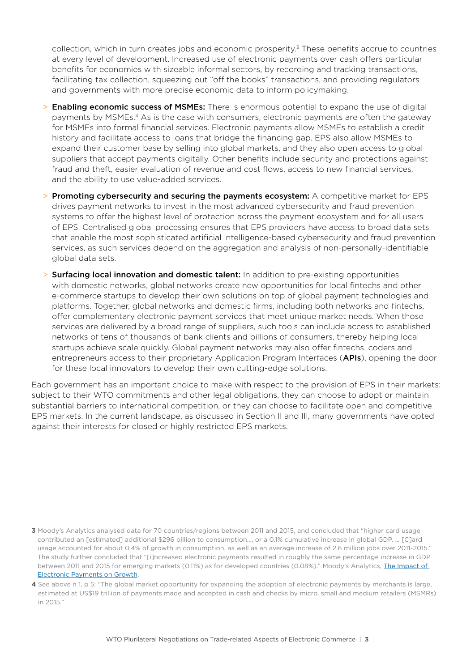collection, which in turn creates jobs and economic prosperity.<sup>3</sup> These benefits accrue to countries at every level of development. Increased use of electronic payments over cash offers particular benefits for economies with sizeable informal sectors, by recording and tracking transactions, facilitating tax collection, squeezing out "off the books" transactions, and providing regulators and governments with more precise economic data to inform policymaking.

- > Enabling economic success of MSMEs: There is enormous potential to expand the use of digital payments by MSMEs.4 As is the case with consumers, electronic payments are often the gateway for MSMEs into formal financial services. Electronic payments allow MSMEs to establish a credit history and facilitate access to loans that bridge the financing gap. EPS also allow MSMEs to expand their customer base by selling into global markets, and they also open access to global suppliers that accept payments digitally. Other benefits include security and protections against fraud and theft, easier evaluation of revenue and cost flows, access to new financial services, and the ability to use value-added services.
- > Promoting cybersecurity and securing the payments ecosystem: A competitive market for EPS drives payment networks to invest in the most advanced cybersecurity and fraud prevention systems to offer the highest level of protection across the payment ecosystem and for all users of EPS. Centralised global processing ensures that EPS providers have access to broad data sets that enable the most sophisticated artificial intelligence-based cybersecurity and fraud prevention services, as such services depend on the aggregation and analysis of non-personally-identifiable global data sets.
- > Surfacing local innovation and domestic talent: In addition to pre-existing opportunities with domestic networks, global networks create new opportunities for local fintechs and other e-commerce startups to develop their own solutions on top of global payment technologies and platforms. Together, global networks and domestic firms, including both networks and fintechs, offer complementary electronic payment services that meet unique market needs. When those services are delivered by a broad range of suppliers, such tools can include access to established networks of tens of thousands of bank clients and billions of consumers, thereby helping local startups achieve scale quickly. Global payment networks may also offer fintechs, coders and entrepreneurs access to their proprietary Application Program Interfaces (APIs), opening the door for these local innovators to develop their own cutting-edge solutions.

Each government has an important choice to make with respect to the provision of EPS in their markets: subject to their WTO commitments and other legal obligations, they can choose to adopt or maintain substantial barriers to international competition, or they can choose to facilitate open and competitive EPS markets. In the current landscape, as discussed in Section II and III, many governments have opted against their interests for closed or highly restricted EPS markets.

**<sup>3</sup>** Moody's Analytics analysed data for 70 countries/regions between 2011 and 2015, and concluded that "higher card usage contributed an [estimated] additional \$296 billion to consumption…, or a 0.1% cumulative increase in global GDP. … [C]ard usage accounted for about 0.4% of growth in consumption, as well as an average increase of 2.6 million jobs over 2011-2015." The study further concluded that "[i]ncreased electronic payments resulted in roughly the same percentage increase in GDP between 2011 and 2015 for emerging markets (0.11%) as for developed countries (0.08%)." Moody's Analytics, [The Impact of](https://www.academia.edu/24329838/The_Impact_of_Electronic_Payments_on_Economic_Growth)  [Electronic Payments on Growth](https://www.academia.edu/24329838/The_Impact_of_Electronic_Payments_on_Economic_Growth).

**<sup>4</sup>** See above n 1, p 5: "The global market opportunity for expanding the adoption of electronic payments by merchants is large, estimated at US\$19 trillion of payments made and accepted in cash and checks by micro, small and medium retailers (MSMRs) in 2015."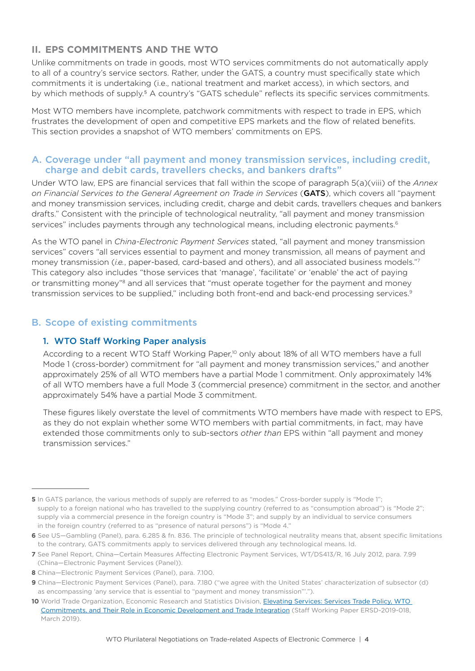# **II. EPS COMMITMENTS AND THE WTO**

Unlike commitments on trade in goods, most WTO services commitments do not automatically apply to all of a country's service sectors. Rather, under the GATS, a country must specifically state which commitments it is undertaking (i.e., national treatment and market access), in which sectors, and by which methods of supply.<sup>5</sup> A country's "GATS schedule" reflects its specific services commitments.

Most WTO members have incomplete, patchwork commitments with respect to trade in EPS, which frustrates the development of open and competitive EPS markets and the flow of related benefits. This section provides a snapshot of WTO members' commitments on EPS.

#### A. Coverage under "all payment and money transmission services, including credit, charge and debit cards, travellers checks, and bankers drafts"

Under WTO law, EPS are financial services that fall within the scope of paragraph 5(a)(viii) of the *Annex on Financial Services to the General Agreement on Trade in Services* (GATS), which covers all "payment and money transmission services, including credit, charge and debit cards, travellers cheques and bankers drafts." Consistent with the principle of technological neutrality, "all payment and money transmission services" includes payments through any technological means, including electronic payments.<sup>6</sup>

As the WTO panel in *China-Electronic Payment Services* stated, "all payment and money transmission services" covers "all services essential to payment and money transmission, all means of payment and money transmission (*i.e.*, paper-based, card-based and others), and all associated business models."7 This category also includes "those services that 'manage', 'facilitate' or 'enable' the act of paying or transmitting money"<sup>8</sup> and all services that "must operate together for the payment and money transmission services to be supplied," including both front-end and back-end processing services.9

# B. Scope of existing commitments

# 1. WTO Staff Working Paper analysis

According to a recent WTO Staff Working Paper,<sup>10</sup> only about 18% of all WTO members have a full Mode 1 (cross-border) commitment for "all payment and money transmission services," and another approximately 25% of all WTO members have a partial Mode 1 commitment. Only approximately 14% of all WTO members have a full Mode 3 (commercial presence) commitment in the sector, and another approximately 54% have a partial Mode 3 commitment.

These figures likely overstate the level of commitments WTO members have made with respect to EPS, as they do not explain whether some WTO members with partial commitments, in fact, may have extended those commitments only to sub-sectors *other than* EPS within "all payment and money transmission services."

**<sup>5</sup>** In GATS parlance, the various methods of supply are referred to as "modes." Cross-border supply is "Mode 1"; supply to a foreign national who has travelled to the supplying country (referred to as "consumption abroad") is "Mode 2"; supply via a commercial presence in the foreign country is "Mode 3"; and supply by an individual to service consumers in the foreign country (referred to as "presence of natural persons") is "Mode 4."

**<sup>6</sup>** See US—Gambling (Panel), para. 6.285 & fn. 836. The principle of technological neutrality means that, absent specific limitations to the contrary, GATS commitments apply to services delivered through any technological means. Id.

**<sup>7</sup>** See Panel Report, China—Certain Measures Affecting Electronic Payment Services, WT/DS413/R, 16 July 2012, para. 7.99 (China—Electronic Payment Services (Panel)).

**<sup>8</sup>** China—Electronic Payment Services (Panel), para. 7.100.

**<sup>9</sup>** China—Electronic Payment Services (Panel), para. 7.180 ("we agree with the United States' characterization of subsector (d) as encompassing 'any service that is essential to "payment and money transmission"'.").

**<sup>10</sup>** World Trade Organization, Economic Research and Statistics Division, [Elevating Services: Services Trade Policy, WTO](https://www.wto.org/english/res_e/reser_e/ersd201901_e.pdf)  [Commitments, and Their Role in Economic Development and Trade Integration](https://www.wto.org/english/res_e/reser_e/ersd201901_e.pdf) (Staff Working Paper ERSD-2019-018, March 2019).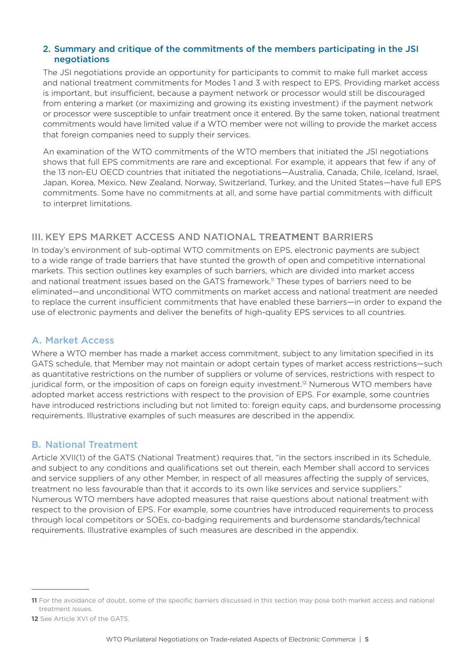#### 2. Summary and critique of the commitments of the members participating in the JSI negotiations

The JSI negotiations provide an opportunity for participants to commit to make full market access and national treatment commitments for Modes 1 and 3 with respect to EPS. Providing market access is important, but insufficient, because a payment network or processor would still be discouraged from entering a market (or maximizing and growing its existing investment) if the payment network or processor were susceptible to unfair treatment once it entered. By the same token, national treatment commitments would have limited value if a WTO member were not willing to provide the market access that foreign companies need to supply their services.

An examination of the WTO commitments of the WTO members that initiated the JSI negotiations shows that full EPS commitments are rare and exceptional. For example, it appears that few if any of the 13 non-EU OECD countries that initiated the negotiations—Australia, Canada, Chile, Iceland, Israel, Japan, Korea, Mexico, New Zealand, Norway, Switzerland, Turkey, and the United States—have full EPS commitments. Some have no commitments at all, and some have partial commitments with difficult to interpret limitations.

# III. KEY EPS MARKET ACCESS AND NATIONAL TR**EATMEN**T BARRIERS

In today's environment of sub-optimal WTO commitments on EPS, electronic payments are subject to a wide range of trade barriers that have stunted the growth of open and competitive international markets. This section outlines key examples of such barriers, which are divided into market access and national treatment issues based on the GATS framework.<sup>11</sup> These types of barriers need to be eliminated—and unconditional WTO commitments on market access and national treatment are needed to replace the current insufficient commitments that have enabled these barriers—in order to expand the use of electronic payments and deliver the benefits of high-quality EPS services to all countries.

# A. Market Access

Where a WTO member has made a market access commitment, subject to any limitation specified in its GATS schedule, that Member may not maintain or adopt certain types of market access restrictions—such as quantitative restrictions on the number of suppliers or volume of services, restrictions with respect to juridical form, or the imposition of caps on foreign equity investment.12 Numerous WTO members have adopted market access restrictions with respect to the provision of EPS. For example, some countries have introduced restrictions including but not limited to: foreign equity caps, and burdensome processing requirements. Illustrative examples of such measures are described in the appendix.

# B. National Treatment

Article XVII(1) of the GATS (National Treatment) requires that, "in the sectors inscribed in its Schedule, and subject to any conditions and qualifications set out therein, each Member shall accord to services and service suppliers of any other Member, in respect of all measures affecting the supply of services, treatment no less favourable than that it accords to its own like services and service suppliers." Numerous WTO members have adopted measures that raise questions about national treatment with respect to the provision of EPS. For example, some countries have introduced requirements to process through local competitors or SOEs, co-badging requirements and burdensome standards/technical requirements. Illustrative examples of such measures are described in the appendix.

**<sup>11</sup>** For the avoidance of doubt, some of the specific barriers discussed in this section may pose both market access and national treatment issues.

**<sup>12</sup>** See Article XVI of the GATS.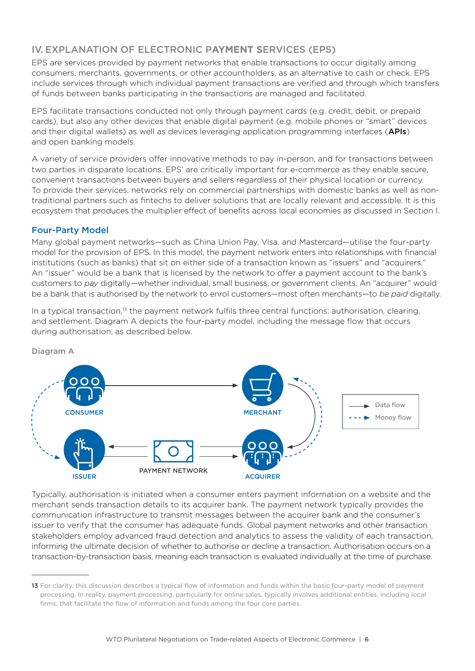# IV. EXPLANATION OF ELECTRONIC P**AYMENT S**ERVICES (EPS)

EPS are services provided by payment networks that enable transactions to occur digitally among consumers, merchants, governments, or other accountholders, as an alternative to cash or check. EPS include services through which individual payment transactions are verified and through which transfers of funds between banks participating in the transactions are managed and facilitated.

EPS facilitate transactions conducted not only through payment cards (e.g. credit, debit, or prepaid cards), but also any other devices that enable digital payment (e.g. mobile phones or "smart" devices and their digital wallets) as well as devices leveraging application programming interfaces (APIs) and open banking models.

A variety of service providers offer innovative methods to pay in-person, and for transactions between two parties in disparate locations. EPS' are critically important for e-commerce as they enable secure, convenient transactions between buyers and sellers regardless of their physical location or currency. To provide their services, networks rely on commercial partnerships with domestic banks as well as nontraditional partners such as fintechs to deliver solutions that are locally relevant and accessible. It is this ecosystem that produces the multiplier effect of benefits across local economies as discussed in Section I.

#### Four-Party Model

Many global payment networks—such as China Union Pay, Visa, and Mastercard—utilise the four-party model for the provision of EPS. In this model, the payment network enters into relationships with financial institutions (such as banks) that sit on either side of a transaction known as "issuers" and "acquirers." An "issuer" would be a bank that is licensed by the network to offer a payment account to the bank's customers to *pay* digitally—whether individual, small business, or government clients. An "acquirer" would be a bank that is authorised by the network to enrol customers—most often merchants—to *be paid* digitally.

In a typical transaction, $13$  the payment network fulfils three central functions: authorisation, clearing, and settlement. Diagram A depicts the four-party model, including the message flow that occurs during authorisation, as described below.



Diagram A

Typically, authorisation is initiated when a consumer enters payment information on a website and the merchant sends transaction details to its acquirer bank. The payment network typically provides the communication infrastructure to transmit messages between the acquirer bank and the consumer's issuer to verify that the consumer has adequate funds. Global payment networks and other transaction stakeholders employ advanced fraud detection and analytics to assess the validity of each transaction, informing the ultimate decision of whether to authorise or decline a transaction. Authorisation occurs on a transaction-by-transaction basis, meaning each transaction is evaluated individually at the time of purchase.

**<sup>13</sup>** For clarity, this discussion describes a typical flow of information and funds within the basic four-party model of payment processing. In reality, payment processing, particularly for online sales, typically involves additional entities, including local firms, that facilitate the flow of information and funds among the four core parties.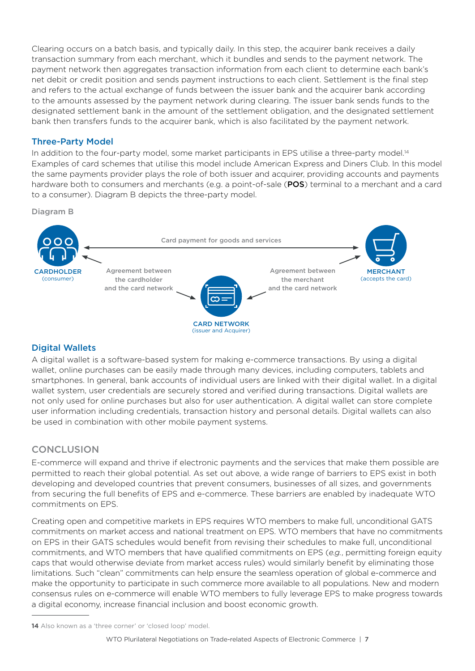Clearing occurs on a batch basis, and typically daily. In this step, the acquirer bank receives a daily transaction summary from each merchant, which it bundles and sends to the payment network. The payment network then aggregates transaction information from each client to determine each bank's net debit or credit position and sends payment instructions to each client. Settlement is the final step and refers to the actual exchange of funds between the issuer bank and the acquirer bank according to the amounts assessed by the payment network during clearing. The issuer bank sends funds to the designated settlement bank in the amount of the settlement obligation, and the designated settlement bank then transfers funds to the acquirer bank, which is also facilitated by the payment network.

#### Three-Party Model

In addition to the four-party model, some market participants in EPS utilise a three-party model.<sup>14</sup> Examples of card schemes that utilise this model include American Express and Diners Club. In this model the same payments provider plays the role of both issuer and acquirer, providing accounts and payments hardware both to consumers and merchants (e.g. a point-of-sale (POS) terminal to a merchant and a card to a consumer). Diagram B depicts the three-party model.

Diagram B



# Digital Wallets

A digital wallet is a software-based system for making e-commerce transactions. By using a digital wallet, online purchases can be easily made through many devices, including computers, tablets and smartphones. In general, bank accounts of individual users are linked with their digital wallet. In a digital wallet system, user credentials are securely stored and verified during transactions. Digital wallets are not only used for online purchases but also for user authentication. A digital wallet can store complete user information including credentials, transaction history and personal details. Digital wallets can also be used in combination with other mobile payment systems.

# **CONCLUSION**

E-commerce will expand and thrive if electronic payments and the services that make them possible are permitted to reach their global potential. As set out above, a wide range of barriers to EPS exist in both developing and developed countries that prevent consumers, businesses of all sizes, and governments from securing the full benefits of EPS and e-commerce. These barriers are enabled by inadequate WTO commitments on EPS.

Creating open and competitive markets in EPS requires WTO members to make full, unconditional GATS commitments on market access and national treatment on EPS. WTO members that have no commitments on EPS in their GATS schedules would benefit from revising their schedules to make full, unconditional commitments, and WTO members that have qualified commitments on EPS (*e.g.*, permitting foreign equity caps that would otherwise deviate from market access rules) would similarly benefit by eliminating those limitations. Such "clean" commitments can help ensure the seamless operation of global e-commerce and make the opportunity to participate in such commerce more available to all populations. New and modern consensus rules on e-commerce will enable WTO members to fully leverage EPS to make progress towards a digital economy, increase financial inclusion and boost economic growth.

**<sup>14</sup>** Also known as a 'three corner' or 'closed loop' model.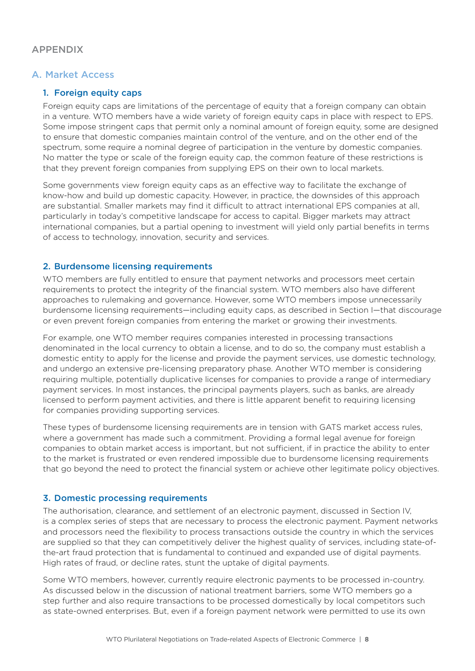# APPENDIX

#### A. Market Access

#### 1. Foreign equity caps

Foreign equity caps are limitations of the percentage of equity that a foreign company can obtain in a venture. WTO members have a wide variety of foreign equity caps in place with respect to EPS. Some impose stringent caps that permit only a nominal amount of foreign equity, some are designed to ensure that domestic companies maintain control of the venture, and on the other end of the spectrum, some require a nominal degree of participation in the venture by domestic companies. No matter the type or scale of the foreign equity cap, the common feature of these restrictions is that they prevent foreign companies from supplying EPS on their own to local markets.

Some governments view foreign equity caps as an effective way to facilitate the exchange of know-how and build up domestic capacity. However, in practice, the downsides of this approach are substantial. Smaller markets may find it difficult to attract international EPS companies at all, particularly in today's competitive landscape for access to capital. Bigger markets may attract international companies, but a partial opening to investment will yield only partial benefits in terms of access to technology, innovation, security and services.

#### 2. Burdensome licensing requirements

WTO members are fully entitled to ensure that payment networks and processors meet certain requirements to protect the integrity of the financial system. WTO members also have different approaches to rulemaking and governance. However, some WTO members impose unnecessarily burdensome licensing requirements—including equity caps, as described in Section I—that discourage or even prevent foreign companies from entering the market or growing their investments.

For example, one WTO member requires companies interested in processing transactions denominated in the local currency to obtain a license, and to do so, the company must establish a domestic entity to apply for the license and provide the payment services, use domestic technology, and undergo an extensive pre-licensing preparatory phase. Another WTO member is considering requiring multiple, potentially duplicative licenses for companies to provide a range of intermediary payment services. In most instances, the principal payments players, such as banks, are already licensed to perform payment activities, and there is little apparent benefit to requiring licensing for companies providing supporting services.

These types of burdensome licensing requirements are in tension with GATS market access rules, where a government has made such a commitment. Providing a formal legal avenue for foreign companies to obtain market access is important, but not sufficient, if in practice the ability to enter to the market is frustrated or even rendered impossible due to burdensome licensing requirements that go beyond the need to protect the financial system or achieve other legitimate policy objectives.

#### 3. Domestic processing requirements

The authorisation, clearance, and settlement of an electronic payment, discussed in Section IV, is a complex series of steps that are necessary to process the electronic payment. Payment networks and processors need the flexibility to process transactions outside the country in which the services are supplied so that they can competitively deliver the highest quality of services, including state-ofthe-art fraud protection that is fundamental to continued and expanded use of digital payments. High rates of fraud, or decline rates, stunt the uptake of digital payments.

Some WTO members, however, currently require electronic payments to be processed in-country. As discussed below in the discussion of national treatment barriers, some WTO members go a step further and also require transactions to be processed domestically by local competitors such as state-owned enterprises. But, even if a foreign payment network were permitted to use its own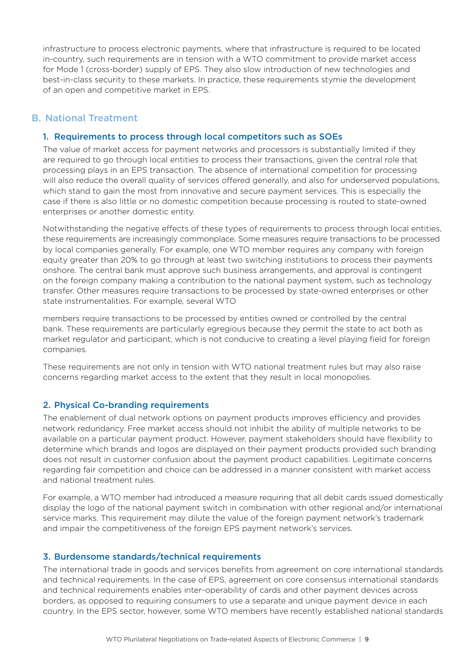infrastructure to process electronic payments, where that infrastructure is required to be located in-country, such requirements are in tension with a WTO commitment to provide market access for Mode 1 (cross-border) supply of EPS. They also slow introduction of new technologies and best-in-class security to these markets. In practice, these requirements stymie the development of an open and competitive market in EPS.

# B. National Treatment

#### 1. Requirements to process through local competitors such as SOEs

The value of market access for payment networks and processors is substantially limited if they are required to go through local entities to process their transactions, given the central role that processing plays in an EPS transaction. The absence of international competition for processing will also reduce the overall quality of services offered generally, and also for underserved populations, which stand to gain the most from innovative and secure payment services. This is especially the case if there is also little or no domestic competition because processing is routed to state-owned enterprises or another domestic entity.

Notwithstanding the negative effects of these types of requirements to process through local entities, these requirements are increasingly commonplace. Some measures require transactions to be processed by local companies generally. For example, one WTO member requires any company with foreign equity greater than 20% to go through at least two switching institutions to process their payments onshore. The central bank must approve such business arrangements, and approval is contingent on the foreign company making a contribution to the national payment system, such as technology transfer. Other measures require transactions to be processed by state-owned enterprises or other state instrumentalities. For example, several WTO

members require transactions to be processed by entities owned or controlled by the central bank. These requirements are particularly egregious because they permit the state to act both as market regulator and participant, which is not conducive to creating a level playing field for foreign companies.

These requirements are not only in tension with WTO national treatment rules but may also raise concerns regarding market access to the extent that they result in local monopolies.

#### 2. Physical Co-branding requirements

The enablement of dual network options on payment products improves efficiency and provides network redundancy. Free market access should not inhibit the ability of multiple networks to be available on a particular payment product. However, payment stakeholders should have flexibility to determine which brands and logos are displayed on their payment products provided such branding does not result in customer confusion about the payment product capabilities. Legitimate concerns regarding fair competition and choice can be addressed in a manner consistent with market access and national treatment rules.

For example, a WTO member had introduced a measure requiring that all debit cards issued domestically display the logo of the national payment switch in combination with other regional and/or international service marks. This requirement may dilute the value of the foreign payment network's trademark and impair the competitiveness of the foreign EPS payment network's services.

#### 3. Burdensome standards/technical requirements

The international trade in goods and services benefits from agreement on core international standards and technical requirements. In the case of EPS, agreement on core consensus international standards and technical requirements enables inter-operability of cards and other payment devices across borders, as opposed to requiring consumers to use a separate and unique payment device in each country. In the EPS sector, however, some WTO members have recently established national standards